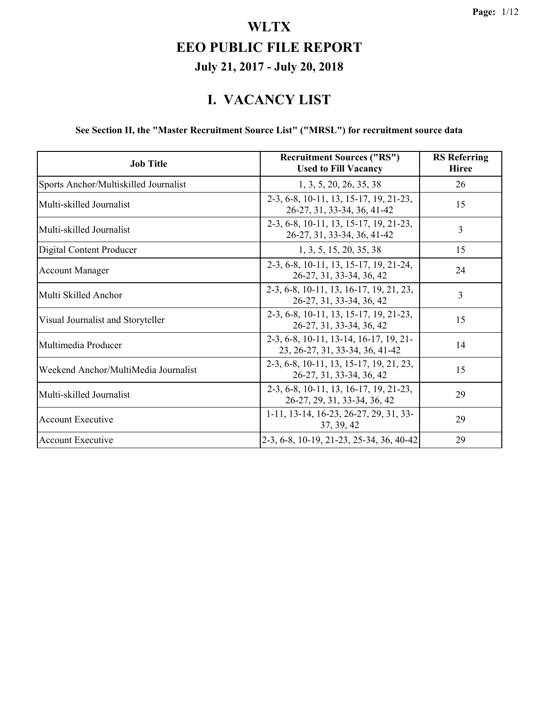#### **I. VACANCY LIST**

#### **See Section II, the "Master Recruitment Source List" ("MRSL") for recruitment source data**

| <b>Job Title</b>                      | <b>Recruitment Sources ("RS")</b><br><b>Used to Fill Vacancy</b>          | <b>RS</b> Referring<br><b>Hiree</b> |
|---------------------------------------|---------------------------------------------------------------------------|-------------------------------------|
| Sports Anchor/Multiskilled Journalist | 1, 3, 5, 20, 26, 35, 38                                                   | 26                                  |
| Multi-skilled Journalist              | 2-3, 6-8, 10-11, 13, 15-17, 19, 21-23,<br>26-27, 31, 33-34, 36, 41-42     | 15                                  |
| Multi-skilled Journalist              | 2-3, 6-8, 10-11, 13, 15-17, 19, 21-23,<br>26-27, 31, 33-34, 36, 41-42     | 3                                   |
| Digital Content Producer              | 1, 3, 5, 15, 20, 35, 38                                                   | 15                                  |
| <b>Account Manager</b>                | 2-3, 6-8, 10-11, 13, 15-17, 19, 21-24,<br>26-27, 31, 33-34, 36, 42        | 24                                  |
| Multi Skilled Anchor                  | 2-3, 6-8, 10-11, 13, 16-17, 19, 21, 23,<br>26-27, 31, 33-34, 36, 42       | $\overline{3}$                      |
| Visual Journalist and Storyteller     | 2-3, 6-8, 10-11, 13, 15-17, 19, 21-23,<br>26-27, 31, 33-34, 36, 42        | 15                                  |
| Multimedia Producer                   | 2-3, 6-8, 10-11, 13-14, 16-17, 19, 21-<br>23, 26-27, 31, 33-34, 36, 41-42 | 14                                  |
| Weekend Anchor/MultiMedia Journalist  | 2-3, 6-8, 10-11, 13, 15-17, 19, 21, 23,<br>26-27, 31, 33-34, 36, 42       | 15                                  |
| Multi-skilled Journalist              | 2-3, 6-8, 10-11, 13, 16-17, 19, 21-23,<br>26-27, 29, 31, 33-34, 36, 42    | 29                                  |
| <b>Account Executive</b>              | 1-11, 13-14, 16-23, 26-27, 29, 31, 33-<br>37, 39, 42                      | 29                                  |
| <b>Account Executive</b>              | 2-3, 6-8, 10-19, 21-23, 25-34, 36, 40-42                                  | 29                                  |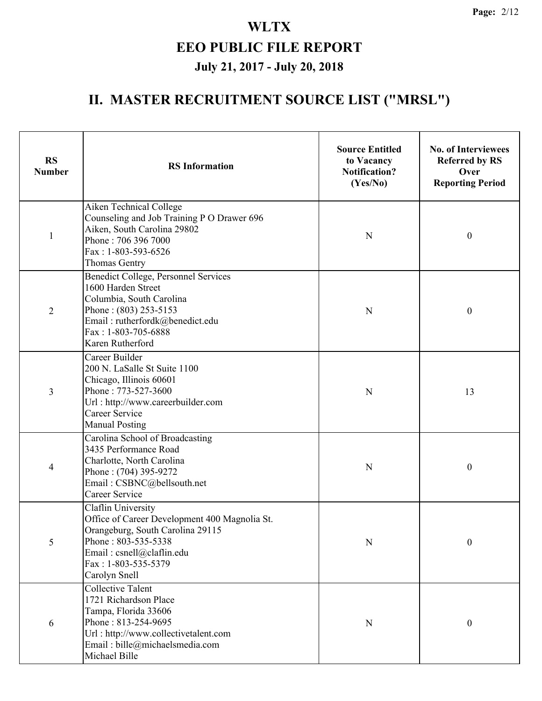| <b>RS</b><br><b>Number</b> | <b>RS</b> Information                                                                                                                                                                               | <b>Source Entitled</b><br>to Vacancy<br><b>Notification?</b><br>(Yes/No) | <b>No. of Interviewees</b><br><b>Referred by RS</b><br>Over<br><b>Reporting Period</b> |
|----------------------------|-----------------------------------------------------------------------------------------------------------------------------------------------------------------------------------------------------|--------------------------------------------------------------------------|----------------------------------------------------------------------------------------|
| 1                          | Aiken Technical College<br>Counseling and Job Training P O Drawer 696<br>Aiken, South Carolina 29802<br>Phone: 706 396 7000<br>Fax: 1-803-593-6526<br><b>Thomas Gentry</b>                          | N                                                                        | $\boldsymbol{0}$                                                                       |
| $\overline{2}$             | Benedict College, Personnel Services<br>1600 Harden Street<br>Columbia, South Carolina<br>Phone: (803) 253-5153<br>Email: rutherfordk@benedict.edu<br>Fax: 1-803-705-6888<br>Karen Rutherford       | N                                                                        | $\boldsymbol{0}$                                                                       |
| 3                          | Career Builder<br>200 N. LaSalle St Suite 1100<br>Chicago, Illinois 60601<br>Phone: 773-527-3600<br>Url: http://www.careerbuilder.com<br>Career Service<br><b>Manual Posting</b>                    | N                                                                        | 13                                                                                     |
| 4                          | Carolina School of Broadcasting<br>3435 Performance Road<br>Charlotte, North Carolina<br>Phone: (704) 395-9272<br>Email: CSBNC@bellsouth.net<br>Career Service                                      | N                                                                        | $\boldsymbol{0}$                                                                       |
| 5                          | Claflin University<br>Office of Career Development 400 Magnolia St.<br>Orangeburg, South Carolina 29115<br>Phone: 803-535-5338<br>Email: csnell@claflin.edu<br>Fax: 1-803-535-5379<br>Carolyn Snell | $\mathbf N$                                                              | $\boldsymbol{0}$                                                                       |
| 6                          | <b>Collective Talent</b><br>1721 Richardson Place<br>Tampa, Florida 33606<br>Phone: 813-254-9695<br>Url: http://www.collectivetalent.com<br>Email: bille@michaelsmedia.com<br>Michael Bille         | $\mathbf N$                                                              | $\boldsymbol{0}$                                                                       |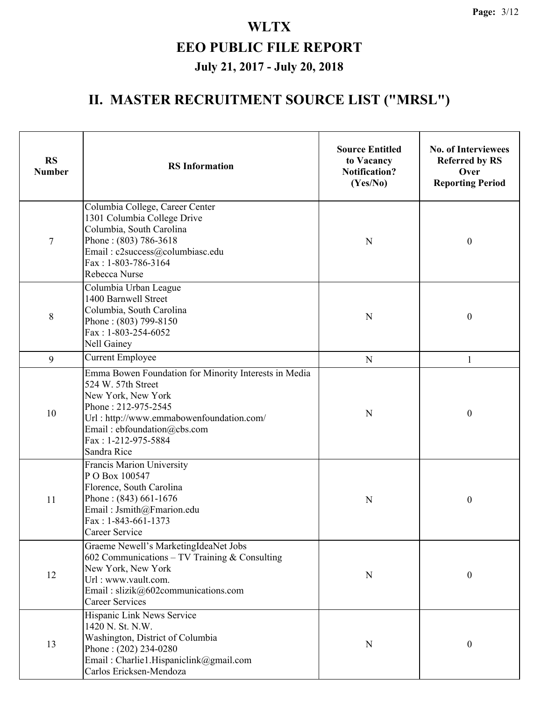| <b>RS</b><br><b>Number</b> | <b>RS</b> Information                                                                                                                                                                                                                     | <b>Source Entitled</b><br>to Vacancy<br><b>Notification?</b><br>(Yes/No) | <b>No. of Interviewees</b><br><b>Referred by RS</b><br>Over<br><b>Reporting Period</b> |
|----------------------------|-------------------------------------------------------------------------------------------------------------------------------------------------------------------------------------------------------------------------------------------|--------------------------------------------------------------------------|----------------------------------------------------------------------------------------|
| $\tau$                     | Columbia College, Career Center<br>1301 Columbia College Drive<br>Columbia, South Carolina<br>Phone: (803) 786-3618<br>Email: c2success@columbiasc.edu<br>Fax: 1-803-786-3164<br>Rebecca Nurse                                            | N                                                                        | $\boldsymbol{0}$                                                                       |
| 8                          | Columbia Urban League<br>1400 Barnwell Street<br>Columbia, South Carolina<br>Phone: (803) 799-8150<br>Fax: 1-803-254-6052<br>Nell Gainey                                                                                                  | N                                                                        | $\boldsymbol{0}$                                                                       |
| 9                          | <b>Current Employee</b>                                                                                                                                                                                                                   | $\mathbf N$                                                              | $\mathbf{1}$                                                                           |
| 10                         | Emma Bowen Foundation for Minority Interests in Media<br>524 W. 57th Street<br>New York, New York<br>Phone: 212-975-2545<br>Url: http://www.emmabowenfoundation.com/<br>Email: ebfoundation@cbs.com<br>Fax: 1-212-975-5884<br>Sandra Rice | N                                                                        | $\boldsymbol{0}$                                                                       |
| 11                         | <b>Francis Marion University</b><br>PO Box 100547<br>Florence, South Carolina<br>Phone: $(843)$ 661-1676<br>Email: Jsmith@Fmarion.edu<br>$Fax: 1-843-661-1373$<br>Career Service                                                          | N                                                                        | $\boldsymbol{0}$                                                                       |
| 12                         | Graeme Newell's MarketingIdeaNet Jobs<br>602 Communications - TV Training $&$ Consulting<br>New York, New York<br>Url: www.vault.com.<br>Email: slizik@602communications.com<br><b>Career Services</b>                                    | N                                                                        | $\boldsymbol{0}$                                                                       |
| 13                         | Hispanic Link News Service<br>1420 N. St. N.W.<br>Washington, District of Columbia<br>Phone: $(202)$ 234-0280<br>Email: Charlie1.Hispaniclink@gmail.com<br>Carlos Ericksen-Mendoza                                                        | N                                                                        | $\boldsymbol{0}$                                                                       |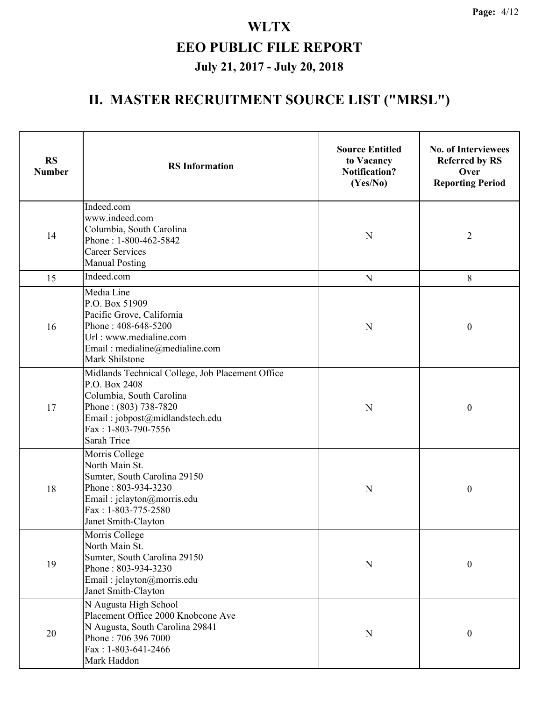| <b>RS</b><br><b>Number</b> | <b>RS</b> Information                                                                                                                                                                           | <b>Source Entitled</b><br>to Vacancy<br><b>Notification?</b><br>(Yes/No) | <b>No. of Interviewees</b><br><b>Referred by RS</b><br>Over<br><b>Reporting Period</b> |
|----------------------------|-------------------------------------------------------------------------------------------------------------------------------------------------------------------------------------------------|--------------------------------------------------------------------------|----------------------------------------------------------------------------------------|
| 14                         | Indeed.com<br>www.indeed.com<br>Columbia, South Carolina<br>Phone: 1-800-462-5842<br><b>Career Services</b><br><b>Manual Posting</b>                                                            | N                                                                        | $\overline{2}$                                                                         |
| 15                         | Indeed.com                                                                                                                                                                                      | ${\bf N}$                                                                | 8                                                                                      |
| 16                         | Media Line<br>P.O. Box 51909<br>Pacific Grove, California<br>Phone: 408-648-5200<br>Url: www.medialine.com<br>Email: medialine@medialine.com<br>Mark Shilstone                                  | N                                                                        | $\boldsymbol{0}$                                                                       |
| 17                         | Midlands Technical College, Job Placement Office<br>P.O. Box 2408<br>Columbia, South Carolina<br>Phone: (803) 738-7820<br>Email: jobpost@midlandstech.edu<br>Fax: 1-803-790-7556<br>Sarah Trice |                                                                          | $\boldsymbol{0}$                                                                       |
| 18                         | Morris College<br>North Main St.<br>Sumter, South Carolina 29150<br>Phone: 803-934-3230<br>Email: jclayton@morris.edu<br>Fax: 1-803-775-2580<br>Janet Smith-Clayton                             | N                                                                        | $\boldsymbol{0}$                                                                       |
| 19                         | Morris College<br>North Main St.<br>Sumter, South Carolina 29150<br>Phone: 803-934-3230<br>Email: jclayton@morris.edu<br>Janet Smith-Clayton                                                    | N                                                                        | $\boldsymbol{0}$                                                                       |
| 20                         | N Augusta High School<br>Placement Office 2000 Knobcone Ave<br>N Augusta, South Carolina 29841<br>Phone: 706 396 7000<br>Fax: 1-803-641-2466<br>Mark Haddon                                     | $\mathbf N$                                                              | $\boldsymbol{0}$                                                                       |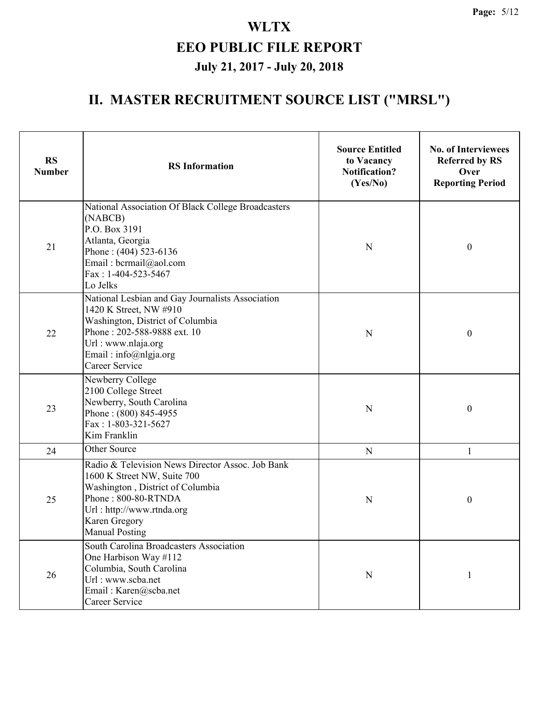| <b>RS</b><br><b>Number</b> | <b>RS</b> Information                                                                                                                                                                                                 | <b>Source Entitled</b><br>to Vacancy<br><b>Notification?</b><br>(Yes/No) | <b>No. of Interviewees</b><br><b>Referred by RS</b><br>Over<br><b>Reporting Period</b> |
|----------------------------|-----------------------------------------------------------------------------------------------------------------------------------------------------------------------------------------------------------------------|--------------------------------------------------------------------------|----------------------------------------------------------------------------------------|
| 21                         | National Association Of Black College Broadcasters<br>(NABCB)<br>P.O. Box 3191<br>Atlanta, Georgia<br>Phone: (404) 523-6136<br>Email: bcrmail@aol.com<br>Fax: 1-404-523-5467<br>Lo Jelks                              |                                                                          | $\boldsymbol{0}$                                                                       |
| 22                         | National Lesbian and Gay Journalists Association<br>1420 K Street, NW #910<br>Washington, District of Columbia<br>Phone: 202-588-9888 ext. 10<br>Url: www.nlaja.org<br>Email: info@nlgja.org<br><b>Career Service</b> | N                                                                        | $\boldsymbol{0}$                                                                       |
| 23                         | Newberry College<br>2100 College Street<br>Newberry, South Carolina<br>Phone: (800) 845-4955<br>Fax: 1-803-321-5627<br>Kim Franklin                                                                                   |                                                                          | $\boldsymbol{0}$                                                                       |
| 24                         | Other Source                                                                                                                                                                                                          | ${\bf N}$                                                                | $\mathbf{1}$                                                                           |
| 25                         | Radio & Television News Director Assoc. Job Bank<br>1600 K Street NW, Suite 700<br>Washington, District of Columbia<br>Phone: 800-80-RTNDA<br>Url: http://www.rtnda.org<br>Karen Gregory<br><b>Manual Posting</b>     | N                                                                        | $\boldsymbol{0}$                                                                       |
| 26                         | South Carolina Broadcasters Association<br>One Harbison Way #112<br>Columbia, South Carolina<br>Url: www.scba.net<br>Email: Karen@scba.net<br>Career Service                                                          | $\mathbf N$                                                              | 1                                                                                      |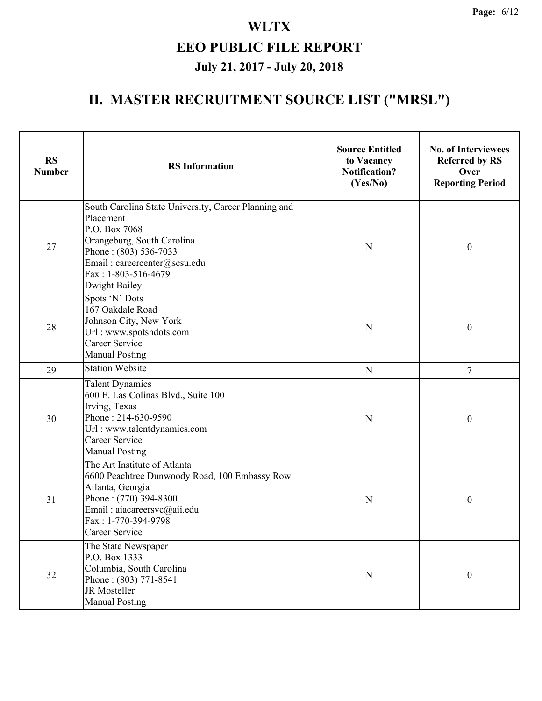| <b>RS</b><br><b>Number</b> | <b>RS</b> Information                                                                                                                                                                                             | <b>Source Entitled</b><br>to Vacancy<br><b>Notification?</b><br>(Yes/No) | <b>No. of Interviewees</b><br><b>Referred by RS</b><br>Over<br><b>Reporting Period</b> |
|----------------------------|-------------------------------------------------------------------------------------------------------------------------------------------------------------------------------------------------------------------|--------------------------------------------------------------------------|----------------------------------------------------------------------------------------|
| 27                         | South Carolina State University, Career Planning and<br>Placement<br>P.O. Box 7068<br>Orangeburg, South Carolina<br>Phone: (803) 536-7033<br>Email: careercenter@scsu.edu<br>Fax: 1-803-516-4679<br>Dwight Bailey | $\mathbf N$                                                              | $\boldsymbol{0}$                                                                       |
| 28                         | Spots 'N' Dots<br>167 Oakdale Road<br>Johnson City, New York<br>Url: www.spotsndots.com<br>Career Service<br><b>Manual Posting</b>                                                                                | N                                                                        | $\boldsymbol{0}$                                                                       |
| 29                         | <b>Station Website</b>                                                                                                                                                                                            | ${\bf N}$                                                                | 7                                                                                      |
| 30                         | <b>Talent Dynamics</b><br>600 E. Las Colinas Blvd., Suite 100<br>Irving, Texas<br>Phone: 214-630-9590<br>Url: www.talentdynamics.com<br><b>Career Service</b><br><b>Manual Posting</b>                            | $\mathbf N$                                                              | $\boldsymbol{0}$                                                                       |
| 31                         | The Art Institute of Atlanta<br>6600 Peachtree Dunwoody Road, 100 Embassy Row<br>Atlanta, Georgia<br>Phone: (770) 394-8300<br>Email: aiacareersvc@aii.edu<br>Fax: 1-770-394-9798<br>Career Service                | N                                                                        | $\boldsymbol{0}$                                                                       |
| 32                         | The State Newspaper<br>P.O. Box 1333<br>Columbia, South Carolina<br>Phone: (803) 771-8541<br>JR Mosteller<br><b>Manual Posting</b>                                                                                | ${\bf N}$                                                                | $\boldsymbol{0}$                                                                       |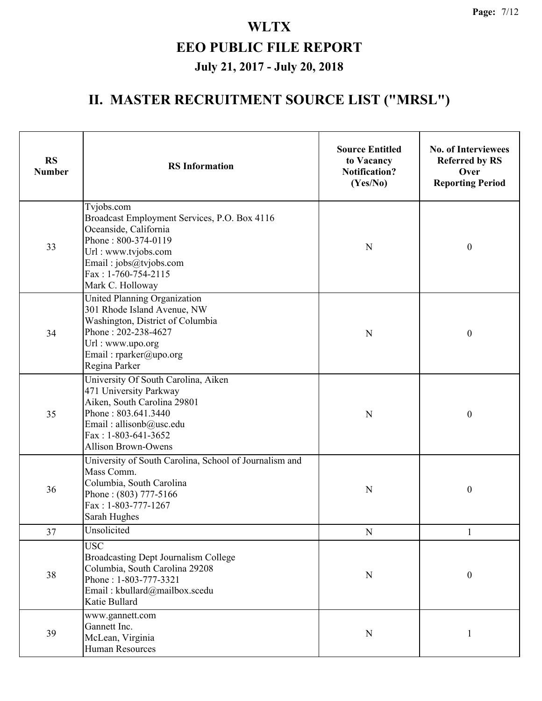| <b>RS</b><br><b>Number</b> | <b>RS</b> Information                                                                                                                                                                                  | <b>Source Entitled</b><br>to Vacancy<br><b>Notification?</b><br>(Yes/No) | <b>No. of Interviewees</b><br><b>Referred by RS</b><br>Over<br><b>Reporting Period</b> |
|----------------------------|--------------------------------------------------------------------------------------------------------------------------------------------------------------------------------------------------------|--------------------------------------------------------------------------|----------------------------------------------------------------------------------------|
| 33                         | Tvjobs.com<br>Broadcast Employment Services, P.O. Box 4116<br>Oceanside, California<br>Phone: 800-374-0119<br>Url: www.tvjobs.com<br>Email: jobs@tvjobs.com<br>Fax: 1-760-754-2115<br>Mark C. Holloway | N                                                                        | $\boldsymbol{0}$                                                                       |
| 34                         | United Planning Organization<br>301 Rhode Island Avenue, NW<br>Washington, District of Columbia<br>Phone: 202-238-4627<br>Url: www.upo.org<br>Email: rparker@upo.org<br>Regina Parker                  | N                                                                        | $\boldsymbol{0}$                                                                       |
| 35                         | University Of South Carolina, Aiken<br>471 University Parkway<br>Aiken, South Carolina 29801<br>Phone: 803.641.3440<br>Email: allisonb@usc.edu<br>Fax: $1-803-641-3652$<br><b>Allison Brown-Owens</b>  | $\mathbf N$                                                              | $\boldsymbol{0}$                                                                       |
| 36                         | University of South Carolina, School of Journalism and<br>Mass Comm.<br>Columbia, South Carolina<br>Phone: (803) 777-5166<br>Fax: 1-803-777-1267<br>Sarah Hughes                                       | N                                                                        | $\boldsymbol{0}$                                                                       |
| 37                         | Unsolicited                                                                                                                                                                                            | $\mathbf N$                                                              | $\mathbf{1}$                                                                           |
| 38                         | <b>USC</b><br><b>Broadcasting Dept Journalism College</b><br>Columbia, South Carolina 29208<br>Phone: 1-803-777-3321<br>Email: kbullard@mailbox.scedu<br>Katie Bullard                                 | ${\bf N}$                                                                | $\boldsymbol{0}$                                                                       |
| 39                         | www.gannett.com<br>Gannett Inc.<br>McLean, Virginia<br><b>Human Resources</b>                                                                                                                          | $\mathbf N$                                                              | 1                                                                                      |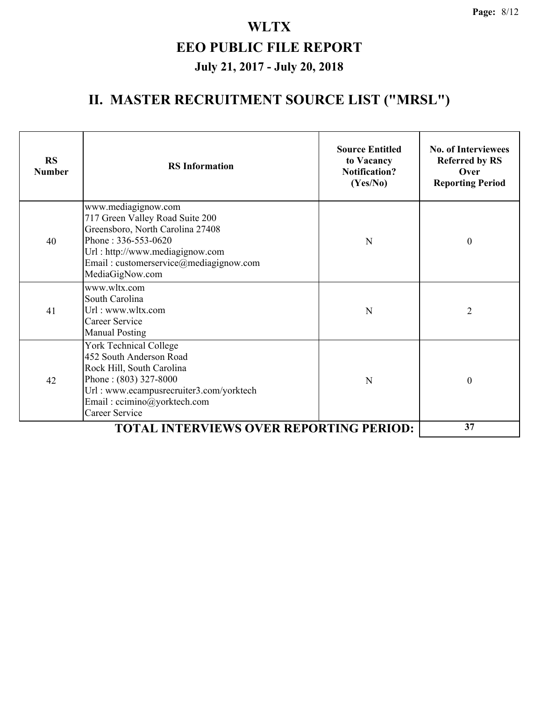| <b>RS</b><br><b>Number</b> | <b>RS</b> Information                                                                                                                                                                                             | <b>Source Entitled</b><br>to Vacancy<br><b>Notification?</b><br>(Yes/No) | <b>No. of Interviewees</b><br><b>Referred by RS</b><br>Over<br><b>Reporting Period</b> |
|----------------------------|-------------------------------------------------------------------------------------------------------------------------------------------------------------------------------------------------------------------|--------------------------------------------------------------------------|----------------------------------------------------------------------------------------|
| 40                         | www.mediagignow.com<br>717 Green Valley Road Suite 200<br>Greensboro, North Carolina 27408<br>Phone: 336-553-0620<br>Url: http://www.mediagignow.com<br>Email: customerservice@mediagignow.com<br>MediaGigNow.com | N                                                                        | $\theta$                                                                               |
| 41                         | www.wltx.com<br>South Carolina<br>Url: www.wltx.com<br>Career Service<br><b>Manual Posting</b>                                                                                                                    | N                                                                        | $\overline{2}$                                                                         |
| 42                         | <b>York Technical College</b><br>452 South Anderson Road<br>Rock Hill, South Carolina<br>Phone: (803) 327-8000<br>Url: www.ecampusrecruiter3.com/yorktech<br>Email: ccimino@yorktech.com<br><b>Career Service</b> | N                                                                        | $\theta$                                                                               |
|                            | <b>TOTAL INTERVIEWS OVER REPORTING PERIOD:</b>                                                                                                                                                                    |                                                                          | 37                                                                                     |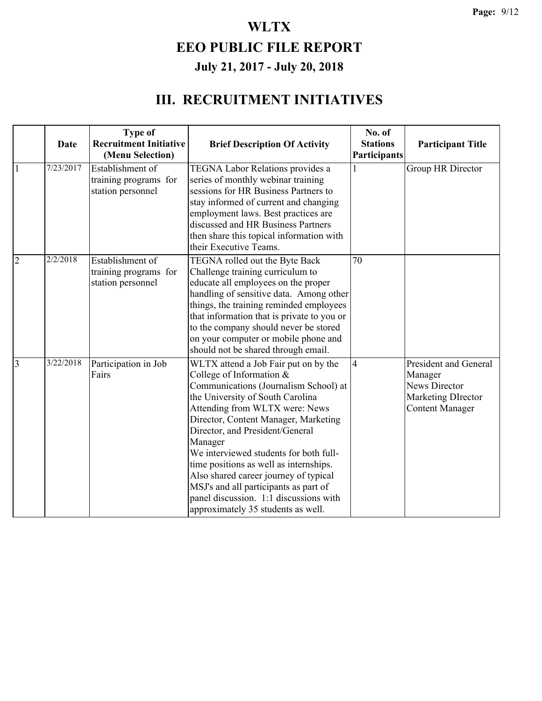|                |             | <b>Type of</b>                                                 |                                                                                                                                                                                                                                                                                                                                                                                                                                                                                                                             | No. of                          |                                                                                                                 |
|----------------|-------------|----------------------------------------------------------------|-----------------------------------------------------------------------------------------------------------------------------------------------------------------------------------------------------------------------------------------------------------------------------------------------------------------------------------------------------------------------------------------------------------------------------------------------------------------------------------------------------------------------------|---------------------------------|-----------------------------------------------------------------------------------------------------------------|
|                | <b>Date</b> | <b>Recruitment Initiative</b><br>(Menu Selection)              | <b>Brief Description Of Activity</b>                                                                                                                                                                                                                                                                                                                                                                                                                                                                                        | <b>Stations</b><br>Participants | <b>Participant Title</b>                                                                                        |
| $\mathbf{1}$   | 7/23/2017   | Establishment of<br>training programs for<br>station personnel | TEGNA Labor Relations provides a<br>series of monthly webinar training<br>sessions for HR Business Partners to<br>stay informed of current and changing<br>employment laws. Best practices are<br>discussed and HR Business Partners<br>then share this topical information with<br>their Executive Teams.                                                                                                                                                                                                                  | 1                               | Group HR Director                                                                                               |
| $\overline{2}$ | 2/2/2018    | Establishment of<br>training programs for<br>station personnel | TEGNA rolled out the Byte Back<br>Challenge training curriculum to<br>educate all employees on the proper<br>handling of sensitive data. Among other<br>things, the training reminded employees<br>that information that is private to you or<br>to the company should never be stored<br>on your computer or mobile phone and<br>should not be shared through email.                                                                                                                                                       | 70                              |                                                                                                                 |
| $\overline{3}$ | 3/22/2018   | Participation in Job<br>Fairs                                  | WLTX attend a Job Fair put on by the<br>College of Information &<br>Communications (Journalism School) at<br>the University of South Carolina<br>Attending from WLTX were: News<br>Director, Content Manager, Marketing<br>Director, and President/General<br>Manager<br>We interviewed students for both full-<br>time positions as well as internships.<br>Also shared career journey of typical<br>MSJ's and all participants as part of<br>panel discussion. 1:1 discussions with<br>approximately 35 students as well. | $\overline{4}$                  | President and General<br>Manager<br><b>News Director</b><br><b>Marketing DIrector</b><br><b>Content Manager</b> |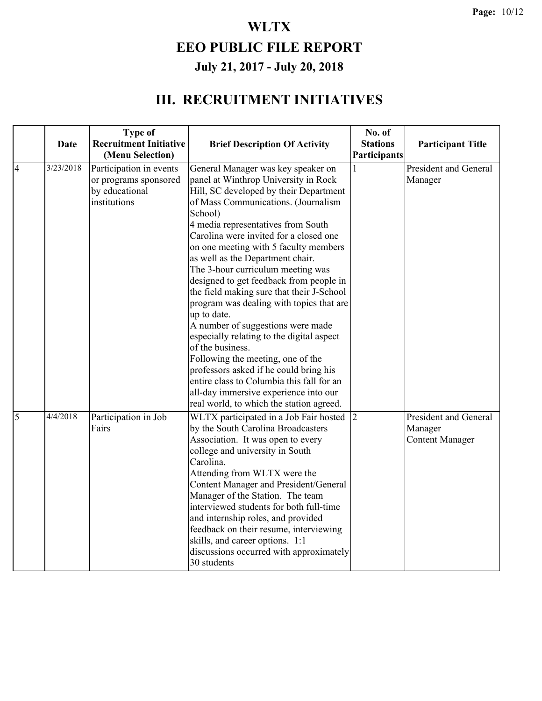|                | <b>Date</b> | <b>Type of</b><br><b>Recruitment Initiative</b>                                    | <b>Brief Description Of Activity</b>                                                                                                                                                                                                                                                                                                                                                                                                                                                                                                                                                                                                                                                                                                                                                                                                               | No. of<br><b>Stations</b> | <b>Participant Title</b>                                          |
|----------------|-------------|------------------------------------------------------------------------------------|----------------------------------------------------------------------------------------------------------------------------------------------------------------------------------------------------------------------------------------------------------------------------------------------------------------------------------------------------------------------------------------------------------------------------------------------------------------------------------------------------------------------------------------------------------------------------------------------------------------------------------------------------------------------------------------------------------------------------------------------------------------------------------------------------------------------------------------------------|---------------------------|-------------------------------------------------------------------|
|                |             | (Menu Selection)                                                                   |                                                                                                                                                                                                                                                                                                                                                                                                                                                                                                                                                                                                                                                                                                                                                                                                                                                    | Participants              |                                                                   |
| $\overline{4}$ | 3/23/2018   | Participation in events<br>or programs sponsored<br>by educational<br>institutions | General Manager was key speaker on<br>panel at Winthrop University in Rock<br>Hill, SC developed by their Department<br>of Mass Communications. (Journalism<br>School)<br>4 media representatives from South<br>Carolina were invited for a closed one<br>on one meeting with 5 faculty members<br>as well as the Department chair.<br>The 3-hour curriculum meeting was<br>designed to get feedback from people in<br>the field making sure that their J-School<br>program was dealing with topics that are<br>up to date.<br>A number of suggestions were made<br>especially relating to the digital aspect<br>of the business.<br>Following the meeting, one of the<br>professors asked if he could bring his<br>entire class to Columbia this fall for an<br>all-day immersive experience into our<br>real world, to which the station agreed. |                           | President and General<br>Manager                                  |
| 5              | 4/4/2018    | Participation in Job<br>Fairs                                                      | WLTX participated in a Job Fair hosted<br>by the South Carolina Broadcasters<br>Association. It was open to every<br>college and university in South<br>Carolina.<br>Attending from WLTX were the<br><b>Content Manager and President/General</b><br>Manager of the Station. The team<br>interviewed students for both full-time<br>and internship roles, and provided<br>feedback on their resume, interviewing<br>skills, and career options. 1:1<br>discussions occurred with approximately<br>30 students                                                                                                                                                                                                                                                                                                                                      | $\overline{2}$            | <b>President and General</b><br>Manager<br><b>Content Manager</b> |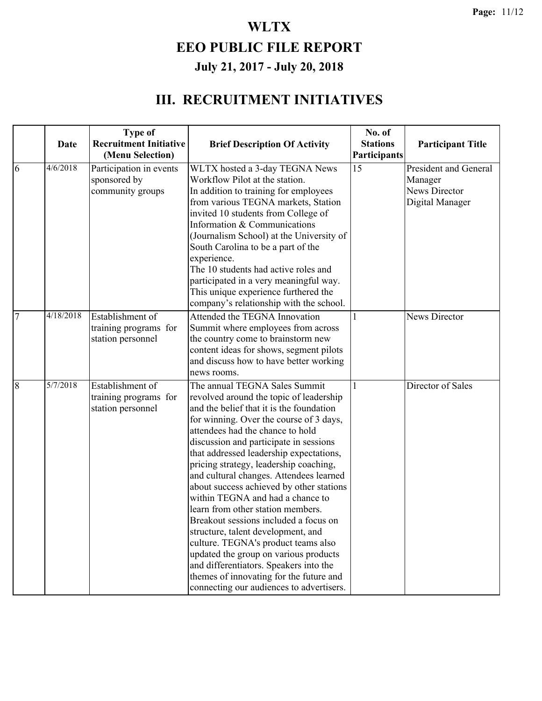|                | <b>Date</b>          | <b>Type of</b><br><b>Recruitment Initiative</b><br>(Menu Selection) | <b>Brief Description Of Activity</b>                                                                                                                                                                                                                                                                                                                                                                                                                                                                                                                                                                                                                                                                                                                                                               | No. of<br><b>Stations</b><br>Participants | <b>Participant Title</b>                                                    |
|----------------|----------------------|---------------------------------------------------------------------|----------------------------------------------------------------------------------------------------------------------------------------------------------------------------------------------------------------------------------------------------------------------------------------------------------------------------------------------------------------------------------------------------------------------------------------------------------------------------------------------------------------------------------------------------------------------------------------------------------------------------------------------------------------------------------------------------------------------------------------------------------------------------------------------------|-------------------------------------------|-----------------------------------------------------------------------------|
| 6              | 4/6/2018             | Participation in events<br>sponsored by<br>community groups         | WLTX hosted a 3-day TEGNA News<br>Workflow Pilot at the station.<br>In addition to training for employees<br>from various TEGNA markets, Station<br>invited 10 students from College of<br>Information & Communications<br>(Journalism School) at the University of<br>South Carolina to be a part of the<br>experience.<br>The 10 students had active roles and<br>participated in a very meaningful way.<br>This unique experience furthered the<br>company's relationship with the school.                                                                                                                                                                                                                                                                                                      | 15                                        | President and General<br>Manager<br><b>News Director</b><br>Digital Manager |
| $\overline{7}$ | 4/18/2018            | Establishment of<br>training programs for<br>station personnel      | Attended the TEGNA Innovation<br>Summit where employees from across<br>the country come to brainstorm new<br>content ideas for shows, segment pilots<br>and discuss how to have better working<br>news rooms.                                                                                                                                                                                                                                                                                                                                                                                                                                                                                                                                                                                      | 1                                         | News Director                                                               |
| 8              | $\frac{1}{5}/7/2018$ | Establishment of<br>training programs for<br>station personnel      | The annual TEGNA Sales Summit<br>revolved around the topic of leadership<br>and the belief that it is the foundation<br>for winning. Over the course of 3 days,<br>attendees had the chance to hold<br>discussion and participate in sessions<br>that addressed leadership expectations,<br>pricing strategy, leadership coaching,<br>and cultural changes. Attendees learned<br>about success achieved by other stations<br>within TEGNA and had a chance to<br>learn from other station members.<br>Breakout sessions included a focus on<br>structure, talent development, and<br>culture. TEGNA's product teams also<br>updated the group on various products<br>and differentiators. Speakers into the<br>themes of innovating for the future and<br>connecting our audiences to advertisers. |                                           | Director of Sales                                                           |